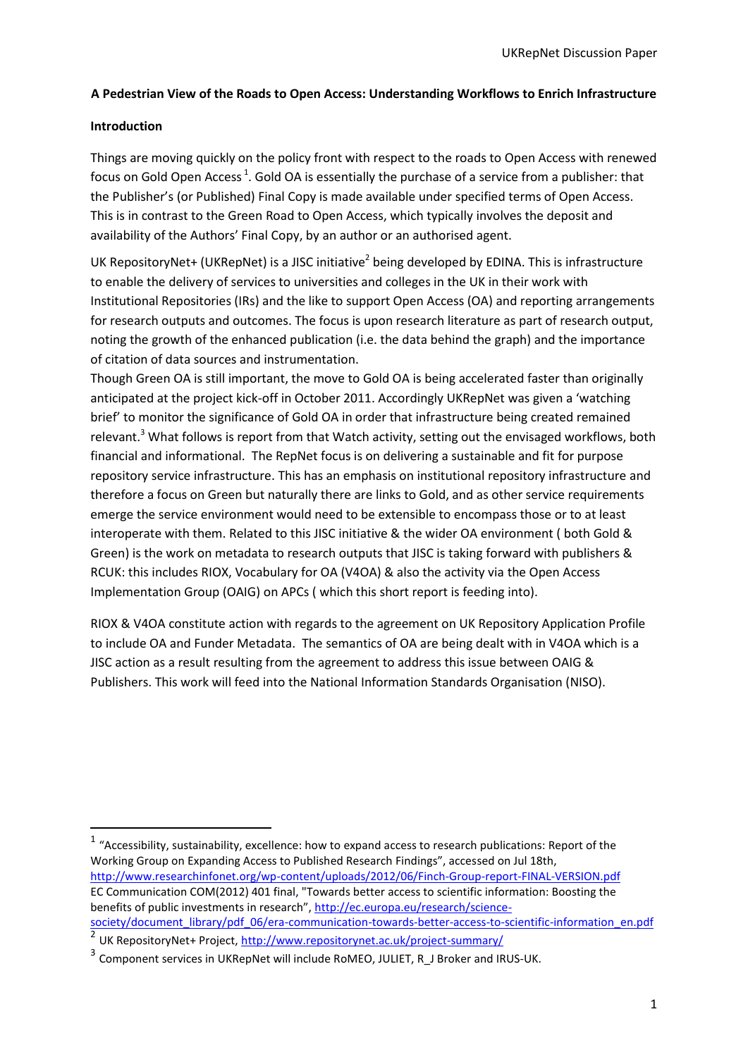# **A Pedestrian View of the Roads to Open Access: Understanding Workflows to Enrich Infrastructure**

## **Introduction**

1

Things are moving quickly on the policy front with respect to the roads to Open Access with renewed focus on Gold Open Access<sup>1</sup>. Gold OA is essentially the purchase of a service from a publisher: that the Publisher's (or Published) Final Copy is made available under specified terms of Open Access. This is in contrast to the Green Road to Open Access, which typically involves the deposit and availability of the Authors' Final Copy, by an author or an authorised agent.

UK RepositoryNet+ (UKRepNet) is a JISC initiative<sup>2</sup> being developed by EDINA. This is infrastructure to enable the delivery of services to universities and colleges in the UK in their work with Institutional Repositories (IRs) and the like to support Open Access (OA) and reporting arrangements for research outputs and outcomes. The focus is upon research literature as part of research output, noting the growth of the enhanced publication (i.e. the data behind the graph) and the importance of citation of data sources and instrumentation.

Though Green OA is still important, the move to Gold OA is being accelerated faster than originally anticipated at the project kick-off in October 2011. Accordingly UKRepNet was given a 'watching brief' to monitor the significance of Gold OA in order that infrastructure being created remained relevant.<sup>3</sup> What follows is report from that Watch activity, setting out the envisaged workflows, both financial and informational. The RepNet focus is on delivering a sustainable and fit for purpose repository service infrastructure. This has an emphasis on institutional repository infrastructure and therefore a focus on Green but naturally there are links to Gold, and as other service requirements emerge the service environment would need to be extensible to encompass those or to at least interoperate with them. Related to this JISC initiative & the wider OA environment ( both Gold & Green) is the work on metadata to research outputs that JISC is taking forward with publishers & RCUK: this includes RIOX, Vocabulary for OA (V4OA) & also the activity via the Open Access Implementation Group (OAIG) on APCs ( which this short report is feeding into).

RIOX & V4OA constitute action with regards to the agreement on UK Repository Application Profile to include OA and Funder Metadata. The semantics of OA are being dealt with in V4OA which is a JISC action as a result resulting from the agreement to address this issue between OAIG & Publishers. This work will feed into the National Information Standards Organisation (NISO).

 $1$  "Accessibility, sustainability, excellence: how to expand access to research publications: Report of the Working Group on Expanding Access to Published Research Findings", accessed on Jul 18th, <http://www.researchinfonet.org/wp-content/uploads/2012/06/Finch-Group-report-FINAL-VERSION.pdf> EC Communication COM(2012) 401 final, "Towards better access to scientific information: Boosting the benefits of public investments in research", [http://ec.europa.eu/research/science](http://ec.europa.eu/research/science-society/document_library/pdf_06/era-communication-towards-better-access-to-scientific-information_en.pdf)[society/document\\_library/pdf\\_06/era-communication-towards-better-access-to-scientific-information\\_en.pdf](http://ec.europa.eu/research/science-society/document_library/pdf_06/era-communication-towards-better-access-to-scientific-information_en.pdf)

<sup>2</sup> UK RepositoryNet+ Project, <u>http://www.repositorynet.ac.uk/project-summary/</u>

<sup>&</sup>lt;sup>3</sup> Component services in UKRepNet will include RoMEO, JULIET, R\_J Broker and IRUS-UK.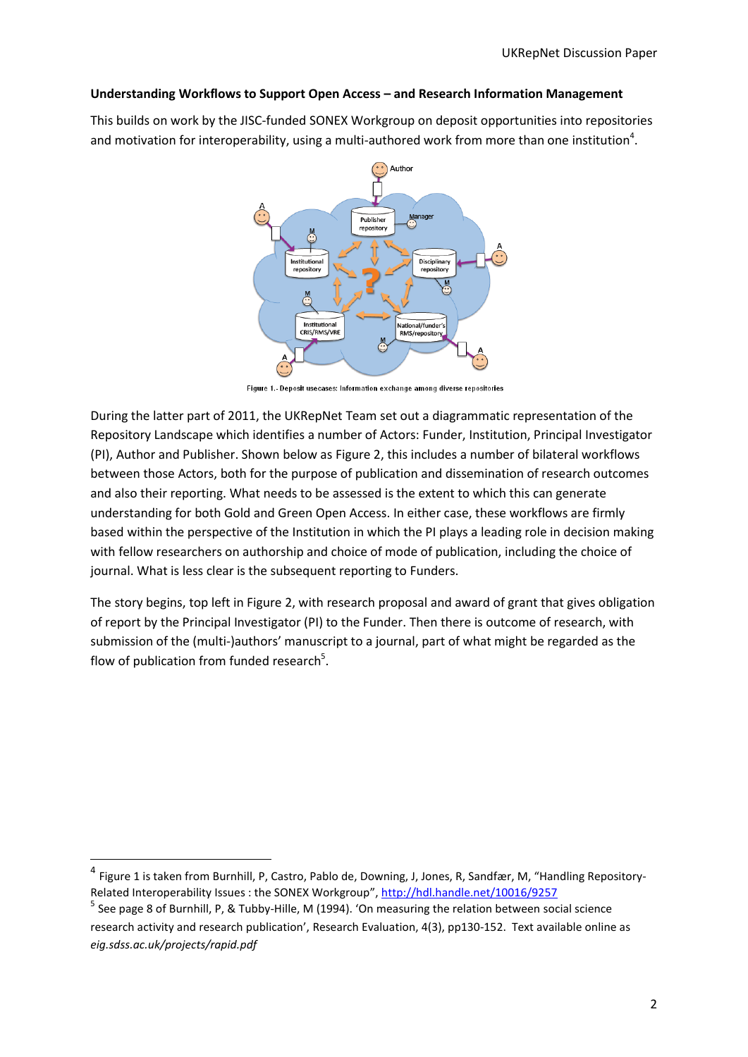#### **Understanding Workflows to Support Open Access – and Research Information Management**

This builds on work by the JISC-funded SONEX Workgroup on deposit opportunities into repositories and motivation for interoperability, using a multi-authored work from more than one institution<sup>4</sup>.



Figure 1.- Deposit usecases: Information exchange among diverse repositories

During the latter part of 2011, the UKRepNet Team set out a diagrammatic representation of the Repository Landscape which identifies a number of Actors: Funder, Institution, Principal Investigator (PI), Author and Publisher. Shown below as Figure 2, this includes a number of bilateral workflows between those Actors, both for the purpose of publication and dissemination of research outcomes and also their reporting. What needs to be assessed is the extent to which this can generate understanding for both Gold and Green Open Access. In either case, these workflows are firmly based within the perspective of the Institution in which the PI plays a leading role in decision making with fellow researchers on authorship and choice of mode of publication, including the choice of journal. What is less clear is the subsequent reporting to Funders.

The story begins, top left in Figure 2, with research proposal and award of grant that gives obligation of report by the Principal Investigator (PI) to the Funder. Then there is outcome of research, with submission of the (multi-)authors' manuscript to a journal, part of what might be regarded as the flow of publication from funded research<sup>5</sup>.

 $\overline{a}$ 

<sup>4</sup> Figure 1 is taken fro[m Burnhill, P,](http://e-archivo.uc3m.es:8080/browse?type=author&value=Burnhill%2C+Peter) [Castro, Pablo de,](http://e-archivo.uc3m.es:8080/browse?type=author&value=Castro+Mart%C3%ADn%2C+Pablo+de) [Downing, J,](http://e-archivo.uc3m.es:8080/browse?type=author&value=Downing%2C+Jim) [Jones, R,](http://e-archivo.uc3m.es:8080/browse?type=author&value=Jones%2C+Richard) [Sandfær, M,](http://e-archivo.uc3m.es:8080/browse?type=author&value=Sandf%C3%A6r%2C+Mogens) "Handling Repository-Related Interoperability Issues : the SONEX Workgroup"[, http://hdl.handle.net/10016/9257](http://hdl.handle.net/10016/9257)

<sup>&</sup>lt;sup>5</sup> See page 8 of Burnhill, P, & Tubby-Hille, M (1994). 'On measuring the relation between social science research activity and research publication', Research Evaluation, 4(3), pp130-152. Text available online as *eig.sdss.ac.uk/projects/rapid.pdf*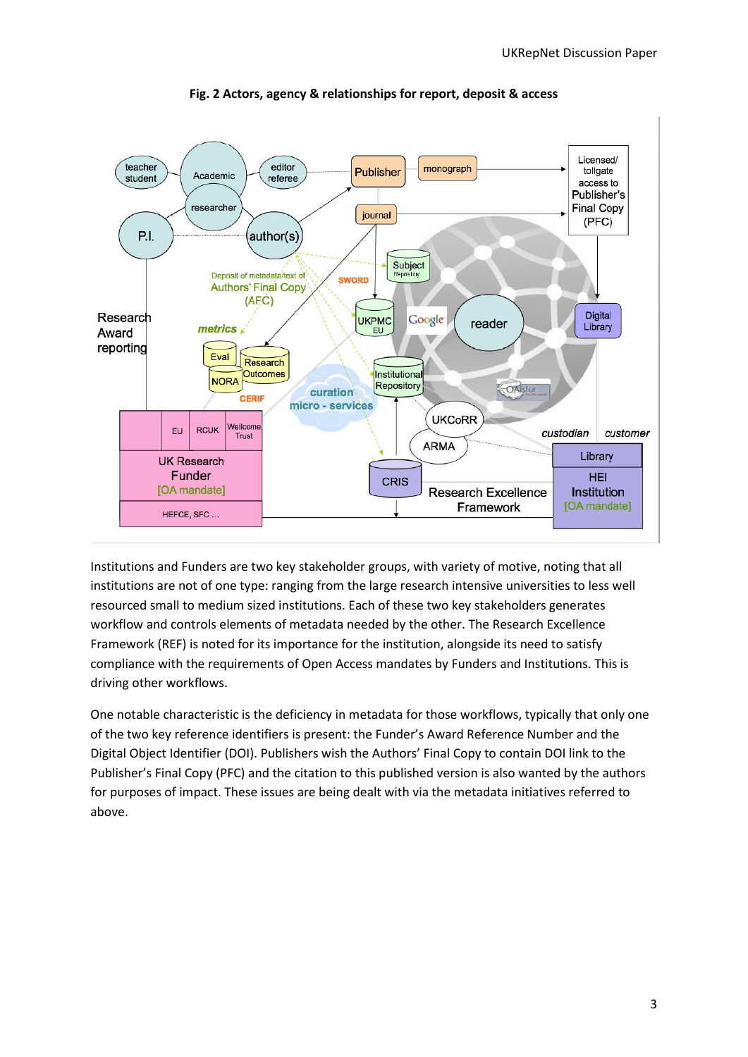

**Fig. 2 Actors, agency & relationships for report, deposit & access**

Institutions and Funders are two key stakeholder groups, with variety of motive, noting that all institutions are not of one type: ranging from the large research intensive universities to less well resourced small to medium sized institutions. Each of these two key stakeholders generates workflow and controls elements of metadata needed by the other. The Research Excellence Framework (REF) is noted for its importance for the institution, alongside its need to satisfy compliance with the requirements of Open Access mandates by Funders and Institutions. This is driving other workflows.

One notable characteristic is the deficiency in metadata for those workflows, typically that only one of the two key reference identifiers is present: the Funder's Award Reference Number and the Digital Object Identifier (DOI). Publishers wish the Authors' Final Copy to contain DOI link to the Publisher's Final Copy (PFC) and the citation to this published version is also wanted by the authors for purposes of impact. These issues are being dealt with via the metadata initiatives referred to above.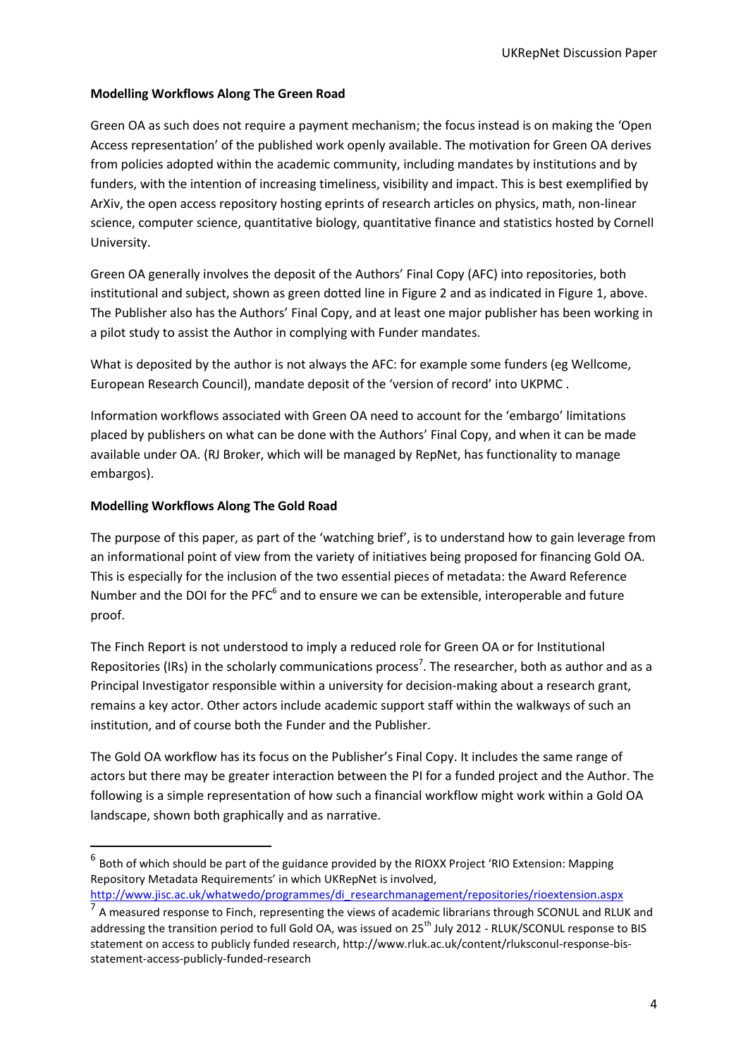## **Modelling Workflows Along The Green Road**

Green OA as such does not require a payment mechanism; the focus instead is on making the 'Open Access representation' of the published work openly available. The motivation for Green OA derives from policies adopted within the academic community, including mandates by institutions and by funders, with the intention of increasing timeliness, visibility and impact. This is best exemplified by ArXiv, the open access repository hosting eprints of research articles on physics, math, non-linear science, computer science, quantitative biology, quantitative finance and statistics hosted by Cornell University.

Green OA generally involves the deposit of the Authors' Final Copy (AFC) into repositories, both institutional and subject, shown as green dotted line in Figure 2 and as indicated in Figure 1, above. The Publisher also has the Authors' Final Copy, and at least one major publisher has been working in a pilot study to assist the Author in complying with Funder mandates.

What is deposited by the author is not always the AFC: for example some funders (eg Wellcome, European Research Council), mandate deposit of the 'version of record' into UKPMC .

Information workflows associated with Green OA need to account for the 'embargo' limitations placed by publishers on what can be done with the Authors' Final Copy, and when it can be made available under OA. (RJ Broker, which will be managed by RepNet, has functionality to manage embargos).

### **Modelling Workflows Along The Gold Road**

1

The purpose of this paper, as part of the 'watching brief', is to understand how to gain leverage from an informational point of view from the variety of initiatives being proposed for financing Gold OA. This is especially for the inclusion of the two essential pieces of metadata: the Award Reference Number and the DOI for the PFC $<sup>6</sup>$  and to ensure we can be extensible, interoperable and future</sup> proof.

The Finch Report is not understood to imply a reduced role for Green OA or for Institutional Repositories (IRs) in the scholarly communications process<sup>7</sup>. The researcher, both as author and as a Principal Investigator responsible within a university for decision-making about a research grant, remains a key actor. Other actors include academic support staff within the walkways of such an institution, and of course both the Funder and the Publisher.

The Gold OA workflow has its focus on the Publisher's Final Copy. It includes the same range of actors but there may be greater interaction between the PI for a funded project and the Author. The following is a simple representation of how such a financial workflow might work within a Gold OA landscape, shown both graphically and as narrative.

 $^6$  Both of which should be part of the guidance provided by the RIOXX Project 'RIO Extension: Mapping Repository Metadata Requirements' in which UKRepNet is involved,

[http://www.jisc.ac.uk/whatwedo/programmes/di\\_researchmanagement/repositories/rioextension.aspx](http://www.jisc.ac.uk/whatwedo/programmes/di_researchmanagement/repositories/rioextension.aspx)

<sup>&</sup>lt;sup>7</sup> A measured response to Finch, representing the views of academic librarians through SCONUL and RLUK and addressing the transition period to full Gold OA, was issued on 25<sup>th</sup> July 2012 - RLUK/SCONUL response to BIS statement on access to publicly funded research, http://www.rluk.ac.uk/content/rluksconul-response-bisstatement-access-publicly-funded-research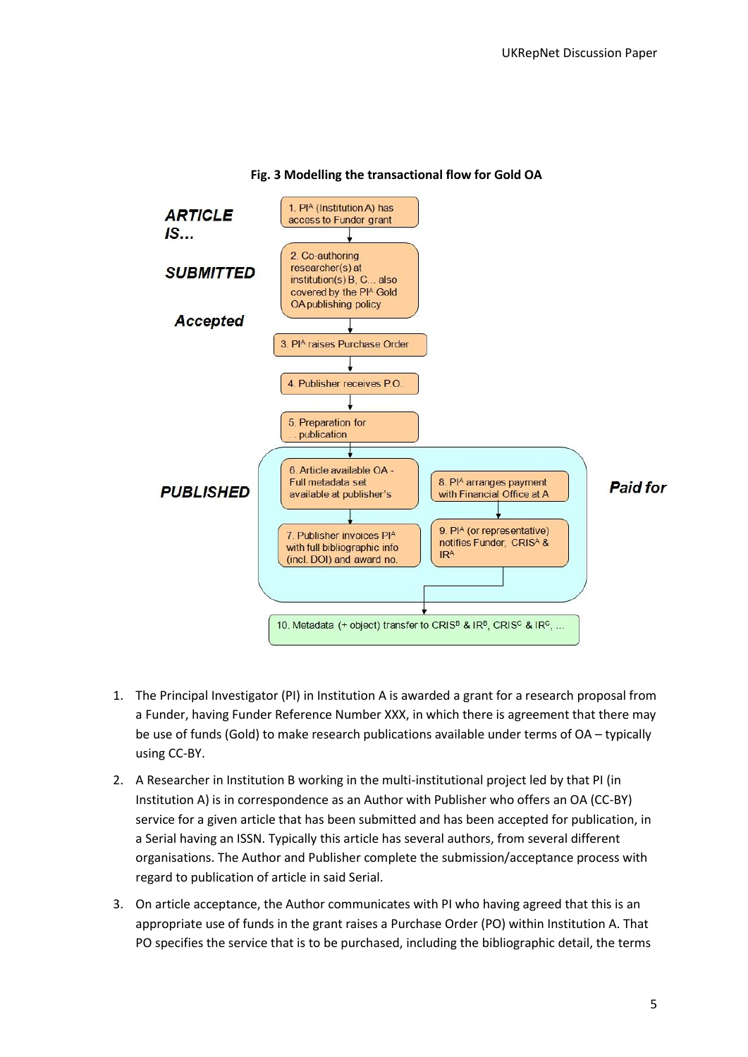

### **Fig. 3 Modelling the transactional flow for Gold OA**

- 1. The Principal Investigator (PI) in Institution A is awarded a grant for a research proposal from a Funder, having Funder Reference Number XXX, in which there is agreement that there may be use of funds (Gold) to make research publications available under terms of OA – typically using CC-BY.
- 2. A Researcher in Institution B working in the multi-institutional project led by that PI (in Institution A) is in correspondence as an Author with Publisher who offers an OA (CC-BY) service for a given article that has been submitted and has been accepted for publication, in a Serial having an ISSN. Typically this article has several authors, from several different organisations. The Author and Publisher complete the submission/acceptance process with regard to publication of article in said Serial.
- 3. On article acceptance, the Author communicates with PI who having agreed that this is an appropriate use of funds in the grant raises a Purchase Order (PO) within Institution A. That PO specifies the service that is to be purchased, including the bibliographic detail, the terms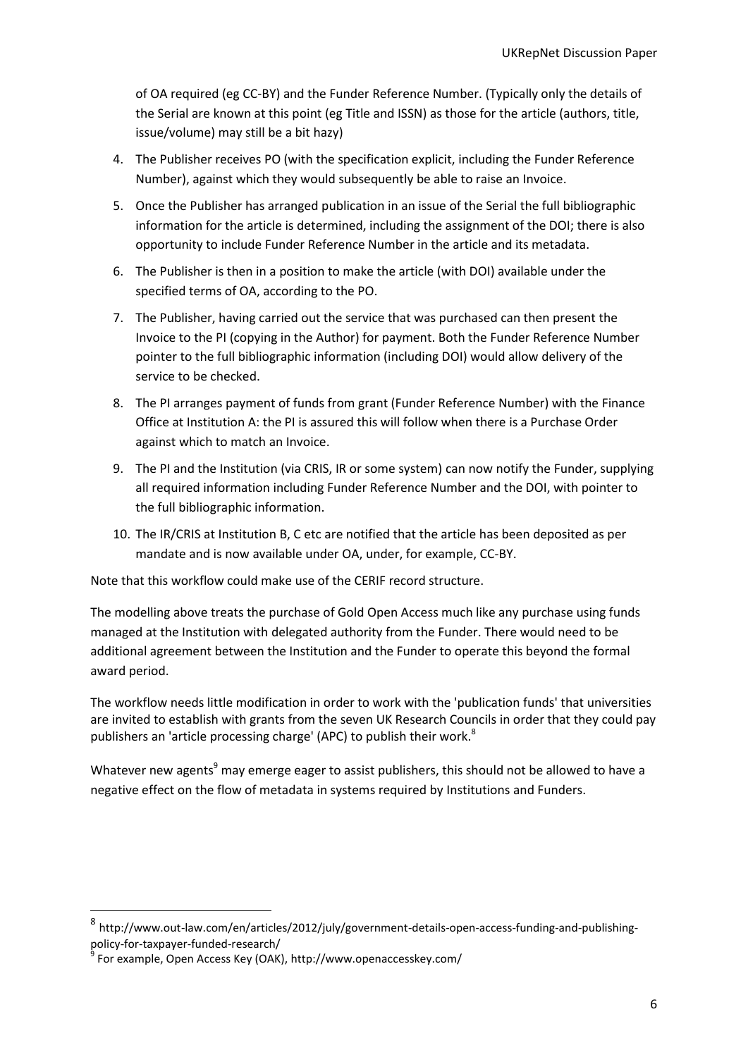of OA required (eg CC-BY) and the Funder Reference Number. (Typically only the details of the Serial are known at this point (eg Title and ISSN) as those for the article (authors, title, issue/volume) may still be a bit hazy)

- 4. The Publisher receives PO (with the specification explicit, including the Funder Reference Number), against which they would subsequently be able to raise an Invoice.
- 5. Once the Publisher has arranged publication in an issue of the Serial the full bibliographic information for the article is determined, including the assignment of the DOI; there is also opportunity to include Funder Reference Number in the article and its metadata.
- 6. The Publisher is then in a position to make the article (with DOI) available under the specified terms of OA, according to the PO.
- 7. The Publisher, having carried out the service that was purchased can then present the Invoice to the PI (copying in the Author) for payment. Both the Funder Reference Number pointer to the full bibliographic information (including DOI) would allow delivery of the service to be checked.
- 8. The PI arranges payment of funds from grant (Funder Reference Number) with the Finance Office at Institution A: the PI is assured this will follow when there is a Purchase Order against which to match an Invoice.
- 9. The PI and the Institution (via CRIS, IR or some system) can now notify the Funder, supplying all required information including Funder Reference Number and the DOI, with pointer to the full bibliographic information.
- 10. The IR/CRIS at Institution B, C etc are notified that the article has been deposited as per mandate and is now available under OA, under, for example, CC-BY.

Note that this workflow could make use of the CERIF record structure.

The modelling above treats the purchase of Gold Open Access much like any purchase using funds managed at the Institution with delegated authority from the Funder. There would need to be additional agreement between the Institution and the Funder to operate this beyond the formal award period.

The workflow needs little modification in order to work with the 'publication funds' that universities are invited to establish with grants from the seven UK Research Councils in order that they could pay publishers an 'article processing charge' (APC) to publish their work.<sup>8</sup>

Whatever new agents<sup>9</sup> may emerge eager to assist publishers, this should not be allowed to have a negative effect on the flow of metadata in systems required by Institutions and Funders.

**.** 

<sup>8</sup> http://www.out-law.com/en/articles/2012/july/government-details-open-access-funding-and-publishingpolicy-for-taxpayer-funded-research/

<sup>9</sup> For example, Open Access Key (OAK), http://www.openaccesskey.com/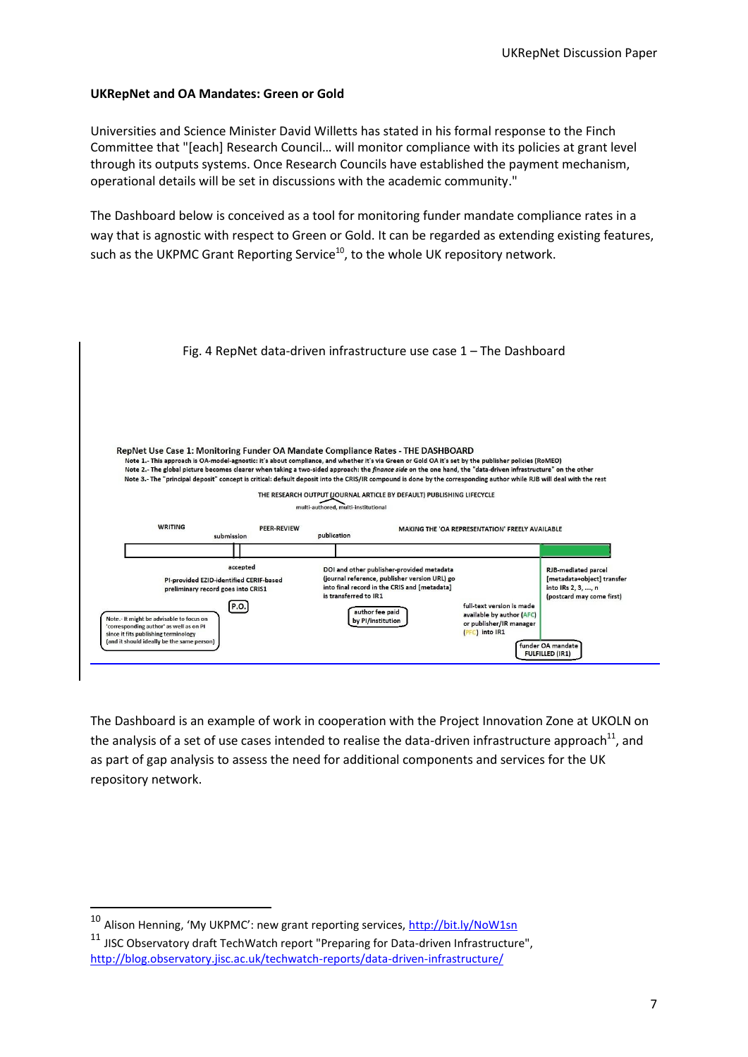#### **UKRepNet and OA Mandates: Green or Gold**

Universities and Science Minister David Willetts has stated in his formal response to the Finch Committee that "[each] Research Council… will monitor compliance with its policies at grant level through its outputs systems. Once Research Councils have established the payment mechanism, operational details will be set in discussions with the academic community."

The Dashboard below is conceived as a tool for monitoring funder mandate compliance rates in a way that is agnostic with respect to Green or Gold. It can be regarded as extending existing features, such as the UKPMC Grant Reporting Service<sup>10</sup>, to the whole UK repository network.

|                                                                                                                             |                                                                                                   | Fig. 4 RepNet data-driven infrastructure use case $1$ – The Dashboard                                                                                                                                                                                                                                                                                                                                                                                                                                                                                                                                                                                              |                                                                                                           |                                                                                                             |
|-----------------------------------------------------------------------------------------------------------------------------|---------------------------------------------------------------------------------------------------|--------------------------------------------------------------------------------------------------------------------------------------------------------------------------------------------------------------------------------------------------------------------------------------------------------------------------------------------------------------------------------------------------------------------------------------------------------------------------------------------------------------------------------------------------------------------------------------------------------------------------------------------------------------------|-----------------------------------------------------------------------------------------------------------|-------------------------------------------------------------------------------------------------------------|
|                                                                                                                             |                                                                                                   |                                                                                                                                                                                                                                                                                                                                                                                                                                                                                                                                                                                                                                                                    |                                                                                                           |                                                                                                             |
|                                                                                                                             |                                                                                                   | RepNet Use Case 1: Monitoring Funder OA Mandate Compliance Rates - THE DASHBOARD<br>Note 1.- This approach is OA-model-agnostic: it's about compliance, and whether it's via Green or Gold OA it's set by the publisher policies (RoMEO)<br>Note 2.- The global picture becomes clearer when taking a two-sided approach: the <i>finance side</i> on the one hand, the "data-driven infrastructure" on the other<br>Note 3.- The "principal deposit" concept is critical: default deposit into the CRIS/IR compound is done by the corresponding author while RJB will deal with the rest<br>THE RESEARCH OUTPUT (JOURNAL ARTICLE BY DEFAULT) PUBLISHING LIFECYCLE |                                                                                                           |                                                                                                             |
| <b>WRITING</b>                                                                                                              | <b>PEER-REVIEW</b><br>submission                                                                  | multi-authored, multi-institutional<br>publication                                                                                                                                                                                                                                                                                                                                                                                                                                                                                                                                                                                                                 | MAKING THE 'OA REPRESENTATION' FREELY AVAILABLE                                                           |                                                                                                             |
| Note.- It might be advisable to focus on<br>'corresponding author' as well as on PI<br>since it fits publishing terminology | accepted<br>PI-provided EZID-identified CERIF-based<br>preliminary record goes into CRIS1<br>P.O. | DOI and other publisher-provided metadata<br>(journal reference, publisher version URL) go<br>into final record in the CRIS and [metadata]<br>is transferred to IR1<br>author fee paid<br>by PI/institution                                                                                                                                                                                                                                                                                                                                                                                                                                                        | full-text version is made<br>available by author (AFC)<br>or publisher/IR manager<br>$($ PFC $)$ into IR1 | <b>RJB-mediated parcel</b><br>[metadata+object] transfer<br>into IRs 2, 3, , n<br>(postcard may come first) |
| (and it should ideally be the same person)                                                                                  |                                                                                                   |                                                                                                                                                                                                                                                                                                                                                                                                                                                                                                                                                                                                                                                                    |                                                                                                           | funder OA mandate<br><b>FULFILLED (IR1)</b>                                                                 |

The Dashboard is an example of work in cooperation with the Project Innovation Zone at UKOLN on the analysis of a set of use cases intended to realise the data-driven infrastructure approach<sup>11</sup>, and as part of gap analysis to assess the need for additional components and services for the UK repository network.

**.** 

<sup>&</sup>lt;sup>10</sup> Alison Henning, 'My UKPMC': new grant reporting services, <http://bit.ly/NoW1sn>

 $11$  JISC Observatory draft TechWatch report "Preparing for Data-driven Infrastructure", <http://blog.observatory.jisc.ac.uk/techwatch-reports/data-driven-infrastructure/>